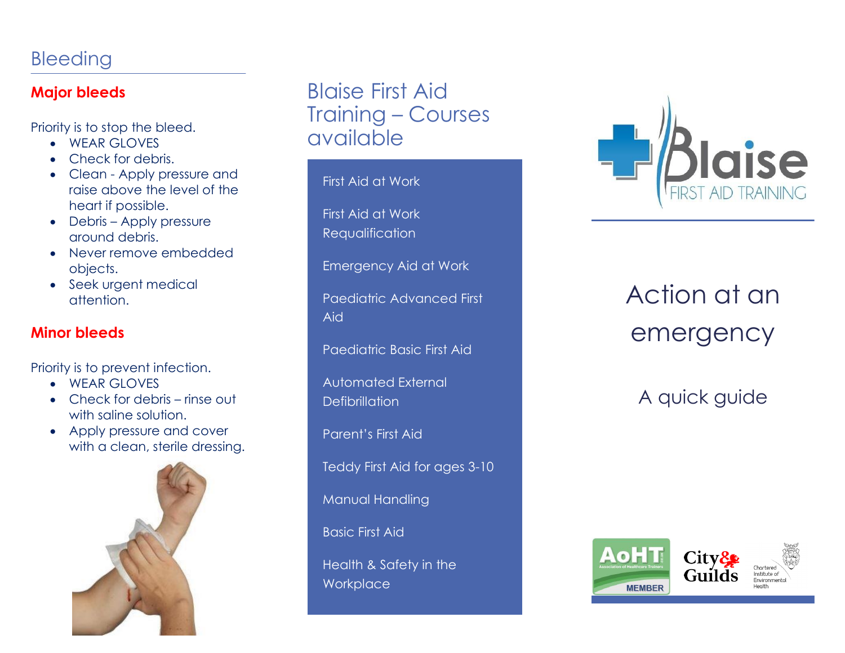## Bleeding

#### **Major bleeds**

Priority is to stop the bleed.

- WEAR GLOVES
- Check for debris.
- Clean Apply pressure and raise above the level of the heart if possible.
- Debris Apply pressure around debris.
- Never remove embedded objects.
- Seek urgent medical attention.

### **Minor bleeds**

Priority is to prevent infection.

- WEAR GLOVES
- Check for debris rinse out with saline solution.
- Apply pressure and cover with a clean, sterile dressing.



## Blaise First Aid Training – Courses available

First Aid at Work

First Aid at Work Requalification

Emergency Aid at Work

Paediatric Advanced First Aid

Paediatric Basic First Aid

Automated External **Defibrillation** 

Parent's First Aid

Teddy First Aid for ages 3-10

Manual Handling

Basic First Aid

Health & Safety in the **Workplace** 



# Action at an emergency

A quick guide